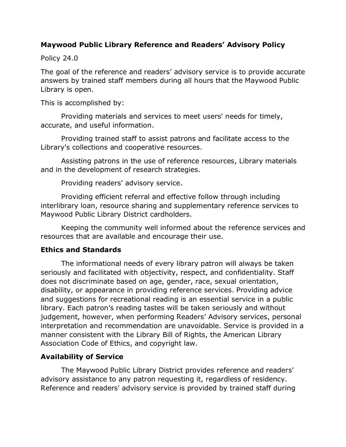## **Maywood Public Library Reference and Readers' Advisory Policy**

Policy 24.0

The goal of the reference and readers' advisory service is to provide accurate answers by trained staff members during all hours that the Maywood Public Library is open.

This is accomplished by:

Providing materials and services to meet users' needs for timely, accurate, and useful information.

Providing trained staff to assist patrons and facilitate access to the Library's collections and cooperative resources.

Assisting patrons in the use of reference resources, Library materials and in the development of research strategies.

Providing readers' advisory service.

Providing efficient referral and effective follow through including interlibrary loan, resource sharing and supplementary reference services to Maywood Public Library District cardholders.

Keeping the community well informed about the reference services and resources that are available and encourage their use.

#### **Ethics and Standards**

The informational needs of every library patron will always be taken seriously and facilitated with objectivity, respect, and confidentiality. Staff does not discriminate based on age, gender, race, sexual orientation, disability, or appearance in providing reference services. Providing advice and suggestions for recreational reading is an essential service in a public library. Each patron's reading tastes will be taken seriously and without judgement, however, when performing Readers' Advisory services, personal interpretation and recommendation are unavoidable. Service is provided in a manner consistent with the Library Bill of Rights, the American Library Association Code of Ethics, and copyright law.

## **Availability of Service**

The Maywood Public Library District provides reference and readers' advisory assistance to any patron requesting it, regardless of residency. Reference and readers' advisory service is provided by trained staff during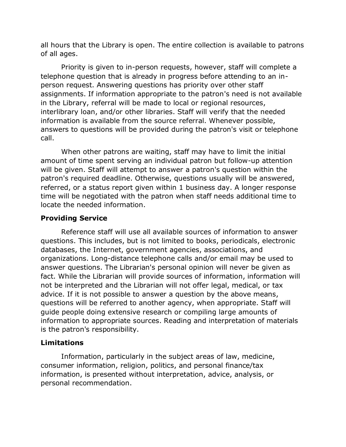all hours that the Library is open. The entire collection is available to patrons of all ages.

Priority is given to in-person requests, however, staff will complete a telephone question that is already in progress before attending to an inperson request. Answering questions has priority over other staff assignments. If information appropriate to the patron's need is not available in the Library, referral will be made to local or regional resources, interlibrary loan, and/or other libraries. Staff will verify that the needed information is available from the source referral. Whenever possible, answers to questions will be provided during the patron's visit or telephone call.

When other patrons are waiting, staff may have to limit the initial amount of time spent serving an individual patron but follow-up attention will be given. Staff will attempt to answer a patron's question within the patron's required deadline. Otherwise, questions usually will be answered, referred, or a status report given within 1 business day. A longer response time will be negotiated with the patron when staff needs additional time to locate the needed information.

# **Providing Service**

Reference staff will use all available sources of information to answer questions. This includes, but is not limited to books, periodicals, electronic databases, the Internet, government agencies, associations, and organizations. Long-distance telephone calls and/or email may be used to answer questions. The Librarian's personal opinion will never be given as fact. While the Librarian will provide sources of information, information will not be interpreted and the Librarian will not offer legal, medical, or tax advice. If it is not possible to answer a question by the above means, questions will be referred to another agency, when appropriate. Staff will guide people doing extensive research or compiling large amounts of information to appropriate sources. Reading and interpretation of materials is the patron's responsibility.

## **Limitations**

Information, particularly in the subject areas of law, medicine, consumer information, religion, politics, and personal finance/tax information, is presented without interpretation, advice, analysis, or personal recommendation.